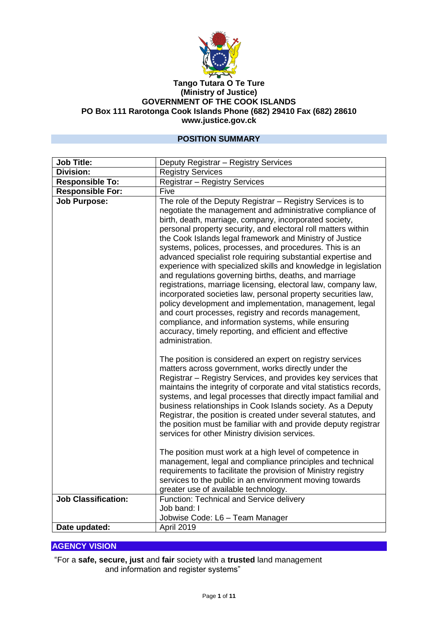

#### **Tango Tutara O Te Ture (Ministry of Justice) GOVERNMENT OF THE COOK ISLANDS PO Box 111 Rarotonga Cook Islands Phone (682) 29410 Fax (682) 28610 www.justice.gov.ck**

### **POSITION SUMMARY**

| <b>Job Title:</b>          | Deputy Registrar - Registry Services                                                                                                                                                                                                                                                                                                                                                                                                                                                                                                                                                                                                                                                                                                                                                                                                                                                                                                                                |
|----------------------------|---------------------------------------------------------------------------------------------------------------------------------------------------------------------------------------------------------------------------------------------------------------------------------------------------------------------------------------------------------------------------------------------------------------------------------------------------------------------------------------------------------------------------------------------------------------------------------------------------------------------------------------------------------------------------------------------------------------------------------------------------------------------------------------------------------------------------------------------------------------------------------------------------------------------------------------------------------------------|
| <b>Division:</b>           | <b>Registry Services</b>                                                                                                                                                                                                                                                                                                                                                                                                                                                                                                                                                                                                                                                                                                                                                                                                                                                                                                                                            |
| <b>Responsible To:</b>     | Registrar - Registry Services                                                                                                                                                                                                                                                                                                                                                                                                                                                                                                                                                                                                                                                                                                                                                                                                                                                                                                                                       |
| Responsible For:           | Five                                                                                                                                                                                                                                                                                                                                                                                                                                                                                                                                                                                                                                                                                                                                                                                                                                                                                                                                                                |
| <b>Job Purpose:</b>        | The role of the Deputy Registrar - Registry Services is to<br>negotiate the management and administrative compliance of<br>birth, death, marriage, company, incorporated society,<br>personal property security, and electoral roll matters within<br>the Cook Islands legal framework and Ministry of Justice<br>systems, polices, processes, and procedures. This is an<br>advanced specialist role requiring substantial expertise and<br>experience with specialized skills and knowledge in legislation<br>and regulations governing births, deaths, and marriage<br>registrations, marriage licensing, electoral law, company law,<br>incorporated societies law, personal property securities law,<br>policy development and implementation, management, legal<br>and court processes, registry and records management,<br>compliance, and information systems, while ensuring<br>accuracy, timely reporting, and efficient and effective<br>administration. |
|                            | The position is considered an expert on registry services<br>matters across government, works directly under the<br>Registrar - Registry Services, and provides key services that<br>maintains the integrity of corporate and vital statistics records,<br>systems, and legal processes that directly impact familial and<br>business relationships in Cook Islands society. As a Deputy<br>Registrar, the position is created under several statutes, and<br>the position must be familiar with and provide deputy registrar<br>services for other Ministry division services.<br>The position must work at a high level of competence in<br>management, legal and compliance principles and technical<br>requirements to facilitate the provision of Ministry registry<br>services to the public in an environment moving towards                                                                                                                                 |
|                            | greater use of available technology.                                                                                                                                                                                                                                                                                                                                                                                                                                                                                                                                                                                                                                                                                                                                                                                                                                                                                                                                |
| <b>Job Classification:</b> | Function: Technical and Service delivery                                                                                                                                                                                                                                                                                                                                                                                                                                                                                                                                                                                                                                                                                                                                                                                                                                                                                                                            |
|                            | Job band: I                                                                                                                                                                                                                                                                                                                                                                                                                                                                                                                                                                                                                                                                                                                                                                                                                                                                                                                                                         |
|                            | Jobwise Code: L6 - Team Manager                                                                                                                                                                                                                                                                                                                                                                                                                                                                                                                                                                                                                                                                                                                                                                                                                                                                                                                                     |
| Date updated:              | April 2019                                                                                                                                                                                                                                                                                                                                                                                                                                                                                                                                                                                                                                                                                                                                                                                                                                                                                                                                                          |

## **AGENCY VISION**

"For a **safe, secure, just** and **fair** society with a **trusted** land management and information and register systems"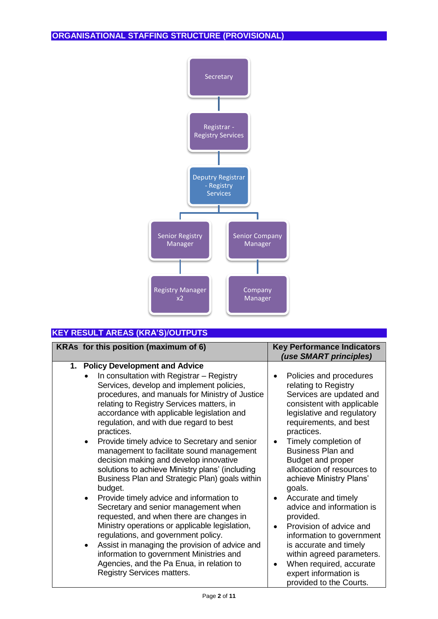

# **KEY RESULT AREAS (KRA'S)/OUTPUTS**

| KRAs for this position (maximum of 6)                                                                                                                                                                                                                                                                                                                                                                                                                                                                                                                                                                                                                                                                                                                                                                                                                                                                                                                                                                | <b>Key Performance Indicators</b><br>(use SMART principles)                                                                                                                                                                                                                                                                                                                                                                                                                                                                                                      |
|------------------------------------------------------------------------------------------------------------------------------------------------------------------------------------------------------------------------------------------------------------------------------------------------------------------------------------------------------------------------------------------------------------------------------------------------------------------------------------------------------------------------------------------------------------------------------------------------------------------------------------------------------------------------------------------------------------------------------------------------------------------------------------------------------------------------------------------------------------------------------------------------------------------------------------------------------------------------------------------------------|------------------------------------------------------------------------------------------------------------------------------------------------------------------------------------------------------------------------------------------------------------------------------------------------------------------------------------------------------------------------------------------------------------------------------------------------------------------------------------------------------------------------------------------------------------------|
| 1. Policy Development and Advice<br>In consultation with Registrar - Registry<br>Services, develop and implement policies,<br>procedures, and manuals for Ministry of Justice<br>relating to Registry Services matters, in<br>accordance with applicable legislation and<br>regulation, and with due regard to best<br>practices.<br>Provide timely advice to Secretary and senior<br>$\bullet$<br>management to facilitate sound management<br>decision making and develop innovative<br>solutions to achieve Ministry plans' (including<br>Business Plan and Strategic Plan) goals within<br>budget.<br>Provide timely advice and information to<br>$\bullet$<br>Secretary and senior management when<br>requested, and when there are changes in<br>Ministry operations or applicable legislation,<br>regulations, and government policy.<br>Assist in managing the provision of advice and<br>$\bullet$<br>information to government Ministries and<br>Agencies, and the Pa Enua, in relation to | Policies and procedures<br>relating to Registry<br>Services are updated and<br>consistent with applicable<br>legislative and regulatory<br>requirements, and best<br>practices.<br>Timely completion of<br>$\bullet$<br><b>Business Plan and</b><br>Budget and proper<br>allocation of resources to<br>achieve Ministry Plans'<br>goals.<br>Accurate and timely<br>advice and information is<br>provided.<br>Provision of advice and<br>$\bullet$<br>information to government<br>is accurate and timely<br>within agreed parameters.<br>When required, accurate |
| <b>Registry Services matters.</b>                                                                                                                                                                                                                                                                                                                                                                                                                                                                                                                                                                                                                                                                                                                                                                                                                                                                                                                                                                    | expert information is<br>provided to the Courts.                                                                                                                                                                                                                                                                                                                                                                                                                                                                                                                 |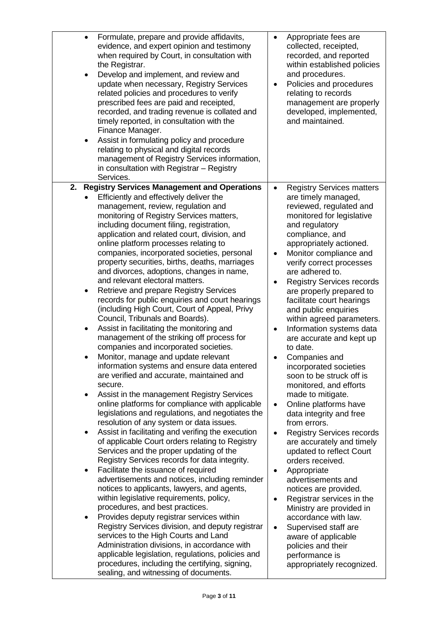| <b>Registry Services matters</b><br>$\bullet$<br>Efficiently and effectively deliver the<br>are timely managed,<br>management, review, regulation and<br>reviewed, regulated and<br>monitoring of Registry Services matters,<br>monitored for legislative<br>including document filing, registration,<br>and regulatory<br>application and related court, division, and<br>compliance, and<br>online platform processes relating to<br>appropriately actioned.<br>companies, incorporated societies, personal<br>Monitor compliance and<br>$\bullet$<br>property securities, births, deaths, marriages<br>verify correct processes<br>and divorces, adoptions, changes in name,<br>are adhered to.<br>and relevant electoral matters.<br><b>Registry Services records</b><br>Retrieve and prepare Registry Services<br>are properly prepared to<br>٠<br>records for public enquiries and court hearings<br>facilitate court hearings<br>(including High Court, Court of Appeal, Privy<br>and public enquiries<br>Council, Tribunals and Boards).<br>within agreed parameters.<br>Assist in facilitating the monitoring and<br>Information systems data<br>$\bullet$<br>$\bullet$<br>management of the striking off process for<br>are accurate and kept up<br>companies and incorporated societies.<br>to date.<br>Monitor, manage and update relevant<br>Companies and<br>information systems and ensure data entered<br>incorporated societies<br>are verified and accurate, maintained and<br>soon to be struck off is<br>secure.<br>monitored, and efforts<br>Assist in the management Registry Services<br>made to mitigate.<br>٠<br>online platforms for compliance with applicable<br>Online platforms have<br>$\bullet$<br>legislations and regulations, and negotiates the<br>data integrity and free<br>resolution of any system or data issues.<br>from errors.<br>Assist in facilitating and verifing the execution<br><b>Registry Services records</b><br>$\bullet$<br>٠<br>of applicable Court orders relating to Registry<br>are accurately and timely<br>Services and the proper updating of the<br>updated to reflect Court<br>Registry Services records for data integrity.<br>orders received.<br>Facilitate the issuance of required<br>Appropriate<br>$\bullet$<br>٠<br>advertisements and notices, including reminder<br>advertisements and<br>notices to applicants, lawyers, and agents,<br>notices are provided.<br>within legislative requirements, policy,<br>Registrar services in the<br>٠<br>procedures, and best practices.<br>Ministry are provided in<br>Provides deputy registrar services within<br>accordance with law.<br>٠ | Formulate, prepare and provide affidavits,<br>$\bullet$<br>evidence, and expert opinion and testimony<br>when required by Court, in consultation with<br>the Registrar.<br>Develop and implement, and review and<br>$\bullet$<br>update when necessary, Registry Services<br>related policies and procedures to verify<br>prescribed fees are paid and receipted,<br>recorded, and trading revenue is collated and<br>timely reported, in consultation with the<br>Finance Manager.<br>Assist in formulating policy and procedure<br>$\bullet$<br>relating to physical and digital records<br>management of Registry Services information,<br>in consultation with Registrar - Registry<br>Services. | Appropriate fees are<br>$\bullet$<br>collected, receipted,<br>recorded, and reported<br>within established policies<br>and procedures.<br>Policies and procedures<br>٠<br>relating to records<br>management are properly<br>developed, implemented,<br>and maintained. |
|------------------------------------------------------------------------------------------------------------------------------------------------------------------------------------------------------------------------------------------------------------------------------------------------------------------------------------------------------------------------------------------------------------------------------------------------------------------------------------------------------------------------------------------------------------------------------------------------------------------------------------------------------------------------------------------------------------------------------------------------------------------------------------------------------------------------------------------------------------------------------------------------------------------------------------------------------------------------------------------------------------------------------------------------------------------------------------------------------------------------------------------------------------------------------------------------------------------------------------------------------------------------------------------------------------------------------------------------------------------------------------------------------------------------------------------------------------------------------------------------------------------------------------------------------------------------------------------------------------------------------------------------------------------------------------------------------------------------------------------------------------------------------------------------------------------------------------------------------------------------------------------------------------------------------------------------------------------------------------------------------------------------------------------------------------------------------------------------------------------------------------------------------------------------------------------------------------------------------------------------------------------------------------------------------------------------------------------------------------------------------------------------------------------------------------------------------------------------------------------------------------------------------------------------------------------------------------------------------------------------------------------------------------------|------------------------------------------------------------------------------------------------------------------------------------------------------------------------------------------------------------------------------------------------------------------------------------------------------------------------------------------------------------------------------------------------------------------------------------------------------------------------------------------------------------------------------------------------------------------------------------------------------------------------------------------------------------------------------------------------------|------------------------------------------------------------------------------------------------------------------------------------------------------------------------------------------------------------------------------------------------------------------------|
| Supervised staff are<br>$\bullet$<br>services to the High Courts and Land<br>aware of applicable<br>Administration divisions, in accordance with<br>policies and their<br>applicable legislation, regulations, policies and<br>performance is<br>procedures, including the certifying, signing,                                                                                                                                                                                                                                                                                                                                                                                                                                                                                                                                                                                                                                                                                                                                                                                                                                                                                                                                                                                                                                                                                                                                                                                                                                                                                                                                                                                                                                                                                                                                                                                                                                                                                                                                                                                                                                                                                                                                                                                                                                                                                                                                                                                                                                                                                                                                                                  | 2.<br><b>Registry Services Management and Operations</b><br>Registry Services division, and deputy registrar                                                                                                                                                                                                                                                                                                                                                                                                                                                                                                                                                                                         |                                                                                                                                                                                                                                                                        |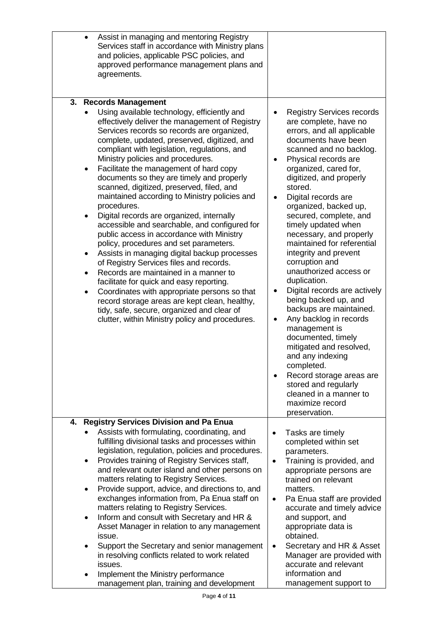| $\bullet$                           | Assist in managing and mentoring Registry<br>Services staff in accordance with Ministry plans<br>and policies, applicable PSC policies, and<br>approved performance management plans and<br>agreements.                                                                                                                                                                                                                                                                                                                                                                                                                                                                                                                                                                                                                                                                                                                                                                                                                                                     |                                                  |                                                                                                                                                                                                                                                                                                                                                                                                                                                                                                                                                                                                                                                                                                                                                                                                                    |
|-------------------------------------|-------------------------------------------------------------------------------------------------------------------------------------------------------------------------------------------------------------------------------------------------------------------------------------------------------------------------------------------------------------------------------------------------------------------------------------------------------------------------------------------------------------------------------------------------------------------------------------------------------------------------------------------------------------------------------------------------------------------------------------------------------------------------------------------------------------------------------------------------------------------------------------------------------------------------------------------------------------------------------------------------------------------------------------------------------------|--------------------------------------------------|--------------------------------------------------------------------------------------------------------------------------------------------------------------------------------------------------------------------------------------------------------------------------------------------------------------------------------------------------------------------------------------------------------------------------------------------------------------------------------------------------------------------------------------------------------------------------------------------------------------------------------------------------------------------------------------------------------------------------------------------------------------------------------------------------------------------|
| 3.                                  | <b>Records Management</b>                                                                                                                                                                                                                                                                                                                                                                                                                                                                                                                                                                                                                                                                                                                                                                                                                                                                                                                                                                                                                                   |                                                  |                                                                                                                                                                                                                                                                                                                                                                                                                                                                                                                                                                                                                                                                                                                                                                                                                    |
| $\bullet$<br>$\bullet$<br>$\bullet$ | Using available technology, efficiently and<br>effectively deliver the management of Registry<br>Services records so records are organized,<br>complete, updated, preserved, digitized, and<br>compliant with legislation, regulations, and<br>Ministry policies and procedures.<br>Facilitate the management of hard copy<br>documents so they are timely and properly<br>scanned, digitized, preserved, filed, and<br>maintained according to Ministry policies and<br>procedures.<br>Digital records are organized, internally<br>accessible and searchable, and configured for<br>public access in accordance with Ministry<br>policy, procedures and set parameters.<br>Assists in managing digital backup processes<br>of Registry Services files and records.<br>Records are maintained in a manner to<br>facilitate for quick and easy reporting.<br>Coordinates with appropriate persons so that<br>record storage areas are kept clean, healthy,<br>tidy, safe, secure, organized and clear of<br>clutter, within Ministry policy and procedures. | ٠<br>$\bullet$                                   | <b>Registry Services records</b><br>are complete, have no<br>errors, and all applicable<br>documents have been<br>scanned and no backlog.<br>Physical records are<br>organized, cared for,<br>digitized, and properly<br>stored.<br>Digital records are<br>organized, backed up,<br>secured, complete, and<br>timely updated when<br>necessary, and properly<br>maintained for referential<br>integrity and prevent<br>corruption and<br>unauthorized access or<br>duplication.<br>Digital records are actively<br>being backed up, and<br>backups are maintained.<br>Any backlog in records<br>management is<br>documented, timely<br>mitigated and resolved,<br>and any indexing<br>completed.<br>Record storage areas are<br>stored and regularly<br>cleaned in a manner to<br>maximize record<br>preservation. |
| 4.                                  | <b>Registry Services Division and Pa Enua</b>                                                                                                                                                                                                                                                                                                                                                                                                                                                                                                                                                                                                                                                                                                                                                                                                                                                                                                                                                                                                               |                                                  |                                                                                                                                                                                                                                                                                                                                                                                                                                                                                                                                                                                                                                                                                                                                                                                                                    |
| $\bullet$<br>٠<br>$\bullet$         | Assists with formulating, coordinating, and<br>fulfilling divisional tasks and processes within<br>legislation, regulation, policies and procedures.<br>Provides training of Registry Services staff,<br>and relevant outer island and other persons on<br>matters relating to Registry Services.<br>Provide support, advice, and directions to, and<br>exchanges information from, Pa Enua staff on<br>matters relating to Registry Services.<br>Inform and consult with Secretary and HR &<br>Asset Manager in relation to any management<br>issue.<br>Support the Secretary and senior management<br>in resolving conflicts related to work related<br>issues.                                                                                                                                                                                                                                                                                                                                                                                           | $\bullet$<br>$\bullet$<br>$\bullet$<br>$\bullet$ | Tasks are timely<br>completed within set<br>parameters.<br>Training is provided, and<br>appropriate persons are<br>trained on relevant<br>matters.<br>Pa Enua staff are provided<br>accurate and timely advice<br>and support, and<br>appropriate data is<br>obtained.<br>Secretary and HR & Asset<br>Manager are provided with<br>accurate and relevant                                                                                                                                                                                                                                                                                                                                                                                                                                                           |
|                                     | Implement the Ministry performance<br>management plan, training and development                                                                                                                                                                                                                                                                                                                                                                                                                                                                                                                                                                                                                                                                                                                                                                                                                                                                                                                                                                             |                                                  | information and<br>management support to                                                                                                                                                                                                                                                                                                                                                                                                                                                                                                                                                                                                                                                                                                                                                                           |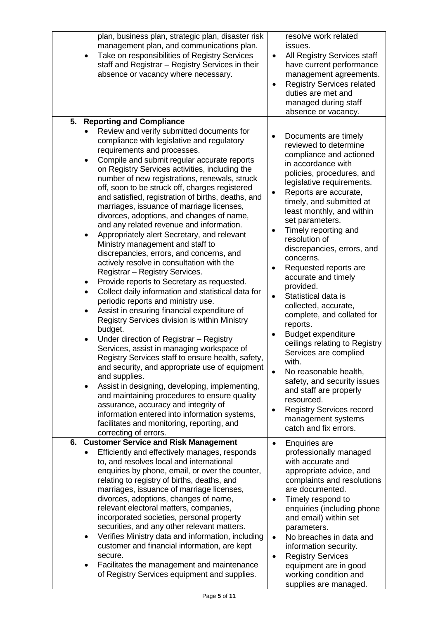| $\bullet$                                             | plan, business plan, strategic plan, disaster risk<br>management plan, and communications plan.<br>Take on responsibilities of Registry Services<br>staff and Registrar - Registry Services in their<br>absence or vacancy where necessary.                                                                                                                                                                                                                                                                                                                                                                                                                                                                                                                                                                                                                                                                                                                                                                                                                                                                                                                                                                                                                                                                                                                                                                                                        | $\bullet$<br>$\bullet$                           | resolve work related<br>issues.<br>All Registry Services staff<br>have current performance<br>management agreements.<br><b>Registry Services related</b><br>duties are met and<br>managed during staff<br>absence or vacancy.                                                                                                                                                                                                                                                                                                                                                                                                                                                                                                                                                             |
|-------------------------------------------------------|----------------------------------------------------------------------------------------------------------------------------------------------------------------------------------------------------------------------------------------------------------------------------------------------------------------------------------------------------------------------------------------------------------------------------------------------------------------------------------------------------------------------------------------------------------------------------------------------------------------------------------------------------------------------------------------------------------------------------------------------------------------------------------------------------------------------------------------------------------------------------------------------------------------------------------------------------------------------------------------------------------------------------------------------------------------------------------------------------------------------------------------------------------------------------------------------------------------------------------------------------------------------------------------------------------------------------------------------------------------------------------------------------------------------------------------------------|--------------------------------------------------|-------------------------------------------------------------------------------------------------------------------------------------------------------------------------------------------------------------------------------------------------------------------------------------------------------------------------------------------------------------------------------------------------------------------------------------------------------------------------------------------------------------------------------------------------------------------------------------------------------------------------------------------------------------------------------------------------------------------------------------------------------------------------------------------|
| 5.                                                    | <b>Reporting and Compliance</b>                                                                                                                                                                                                                                                                                                                                                                                                                                                                                                                                                                                                                                                                                                                                                                                                                                                                                                                                                                                                                                                                                                                                                                                                                                                                                                                                                                                                                    |                                                  |                                                                                                                                                                                                                                                                                                                                                                                                                                                                                                                                                                                                                                                                                                                                                                                           |
| $\bullet$<br>٠<br>$\bullet$<br>$\bullet$<br>$\bullet$ | Review and verify submitted documents for<br>compliance with legislative and regulatory<br>requirements and processes.<br>Compile and submit regular accurate reports<br>on Registry Services activities, including the<br>number of new registrations, renewals, struck<br>off, soon to be struck off, charges registered<br>and satisfied, registration of births, deaths, and<br>marriages, issuance of marriage licenses,<br>divorces, adoptions, and changes of name,<br>and any related revenue and information.<br>Appropriately alert Secretary, and relevant<br>Ministry management and staff to<br>discrepancies, errors, and concerns, and<br>actively resolve in consultation with the<br>Registrar - Registry Services.<br>Provide reports to Secretary as requested.<br>Collect daily information and statistical data for<br>periodic reports and ministry use.<br>Assist in ensuring financial expenditure of<br>Registry Services division is within Ministry<br>budget.<br>Under direction of Registrar - Registry<br>Services, assist in managing workspace of<br>Registry Services staff to ensure health, safety,<br>and security, and appropriate use of equipment<br>and supplies.<br>Assist in designing, developing, implementing,<br>and maintaining procedures to ensure quality<br>assurance, accuracy and integrity of<br>information entered into information systems,<br>facilitates and monitoring, reporting, and | ٠<br>$\bullet$<br>$\bullet$                      | Documents are timely<br>reviewed to determine<br>compliance and actioned<br>in accordance with<br>policies, procedures, and<br>legislative requirements.<br>Reports are accurate,<br>timely, and submitted at<br>least monthly, and within<br>set parameters.<br>Timely reporting and<br>resolution of<br>discrepancies, errors, and<br>concerns.<br>Requested reports are<br>accurate and timely<br>provided.<br>Statistical data is<br>collected, accurate,<br>complete, and collated for<br>reports.<br><b>Budget expenditure</b><br>ceilings relating to Registry<br>Services are complied<br>with.<br>No reasonable health,<br>safety, and security issues<br>and staff are properly<br>resourced.<br><b>Registry Services record</b><br>management systems<br>catch and fix errors. |
|                                                       | correcting of errors.                                                                                                                                                                                                                                                                                                                                                                                                                                                                                                                                                                                                                                                                                                                                                                                                                                                                                                                                                                                                                                                                                                                                                                                                                                                                                                                                                                                                                              |                                                  |                                                                                                                                                                                                                                                                                                                                                                                                                                                                                                                                                                                                                                                                                                                                                                                           |
| 6.<br>$\bullet$                                       | <b>Customer Service and Risk Management</b><br>Efficiently and effectively manages, responds<br>to, and resolves local and international<br>enquiries by phone, email, or over the counter,<br>relating to registry of births, deaths, and<br>marriages, issuance of marriage licenses,<br>divorces, adoptions, changes of name,<br>relevant electoral matters, companies,<br>incorporated societies, personal property<br>securities, and any other relevant matters.<br>Verifies Ministry data and information, including<br>customer and financial information, are kept<br>secure.<br>Facilitates the management and maintenance<br>of Registry Services equipment and supplies.                                                                                                                                                                                                                                                                                                                                                                                                                                                                                                                                                                                                                                                                                                                                                               | $\bullet$<br>$\bullet$<br>$\bullet$<br>$\bullet$ | <b>Enquiries are</b><br>professionally managed<br>with accurate and<br>appropriate advice, and<br>complaints and resolutions<br>are documented.<br>Timely respond to<br>enquiries (including phone<br>and email) within set<br>parameters.<br>No breaches in data and<br>information security.<br><b>Registry Services</b><br>equipment are in good<br>working condition and<br>supplies are managed.                                                                                                                                                                                                                                                                                                                                                                                     |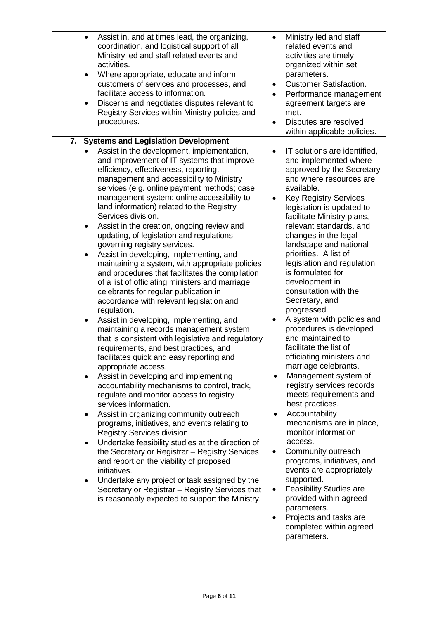| customers of services and processes, and<br>$\bullet$<br>facilitate access to information.<br>$\bullet$<br>Discerns and negotiates disputes relevant to<br>$\bullet$<br>Registry Services within Ministry policies and<br>procedures.                                                                                                                                                                                                                                                                                                                                                                                                                                                                                                                                                                                                                                                                                                                                                                                                                                                                                                                                                                                                                                                                                                                                                                                                                                                                                                                                                                                                                                                                                                                                                                                                                                         | Performance management<br>agreement targets are<br>met.<br>Disputes are resolved<br>within applicable policies.                                                                                                                                                                                                                                                                                                                                                                                                                                                                                                                                                                                                                                                                                                                                                                                                                                                                                                                                                      |
|-------------------------------------------------------------------------------------------------------------------------------------------------------------------------------------------------------------------------------------------------------------------------------------------------------------------------------------------------------------------------------------------------------------------------------------------------------------------------------------------------------------------------------------------------------------------------------------------------------------------------------------------------------------------------------------------------------------------------------------------------------------------------------------------------------------------------------------------------------------------------------------------------------------------------------------------------------------------------------------------------------------------------------------------------------------------------------------------------------------------------------------------------------------------------------------------------------------------------------------------------------------------------------------------------------------------------------------------------------------------------------------------------------------------------------------------------------------------------------------------------------------------------------------------------------------------------------------------------------------------------------------------------------------------------------------------------------------------------------------------------------------------------------------------------------------------------------------------------------------------------------|----------------------------------------------------------------------------------------------------------------------------------------------------------------------------------------------------------------------------------------------------------------------------------------------------------------------------------------------------------------------------------------------------------------------------------------------------------------------------------------------------------------------------------------------------------------------------------------------------------------------------------------------------------------------------------------------------------------------------------------------------------------------------------------------------------------------------------------------------------------------------------------------------------------------------------------------------------------------------------------------------------------------------------------------------------------------|
| <b>Systems and Legislation Development</b><br>7.<br>Assist in the development, implementation,<br>$\bullet$<br>and improvement of IT systems that improve<br>efficiency, effectiveness, reporting,<br>management and accessibility to Ministry<br>services (e.g. online payment methods; case<br>management system; online accessibility to<br>$\bullet$<br>land information) related to the Registry<br>Services division.<br>Assist in the creation, ongoing review and<br>$\bullet$<br>updating, of legislation and regulations<br>governing registry services.<br>Assist in developing, implementing, and<br>$\bullet$<br>maintaining a system, with appropriate policies<br>and procedures that facilitates the compilation<br>of a list of officiating ministers and marriage<br>celebrants for regular publication in<br>accordance with relevant legislation and<br>regulation.<br>Assist in developing, implementing, and<br>$\bullet$<br>$\bullet$<br>maintaining a records management system<br>that is consistent with legislative and regulatory<br>requirements, and best practices, and<br>facilitates quick and easy reporting and<br>appropriate access.<br>Assist in developing and implementing<br>$\bullet$<br>accountability mechanisms to control, track,<br>regulate and monitor access to registry<br>services information.<br>Assist in organizing community outreach<br>٠<br>programs, initiatives, and events relating to<br>Registry Services division.<br>Undertake feasibility studies at the direction of<br>$\bullet$<br>the Secretary or Registrar - Registry Services<br>$\bullet$<br>and report on the viability of proposed<br>initiatives.<br>Undertake any project or task assigned by the<br>$\bullet$<br>Secretary or Registrar - Registry Services that<br>$\bullet$<br>is reasonably expected to support the Ministry.<br>$\bullet$ | IT solutions are identified,<br>and implemented where<br>approved by the Secretary<br>and where resources are<br>available.<br><b>Key Registry Services</b><br>legislation is updated to<br>facilitate Ministry plans,<br>relevant standards, and<br>changes in the legal<br>landscape and national<br>priorities. A list of<br>legislation and regulation<br>is formulated for<br>development in<br>consultation with the<br>Secretary, and<br>progressed.<br>A system with policies and<br>procedures is developed<br>and maintained to<br>facilitate the list of<br>officiating ministers and<br>marriage celebrants.<br>Management system of<br>$\bullet$<br>registry services records<br>meets requirements and<br>best practices.<br>Accountability<br>mechanisms are in place,<br>monitor information<br>access.<br>Community outreach<br>programs, initiatives, and<br>events are appropriately<br>supported.<br><b>Feasibility Studies are</b><br>provided within agreed<br>parameters.<br>Projects and tasks are<br>completed within agreed<br>parameters. |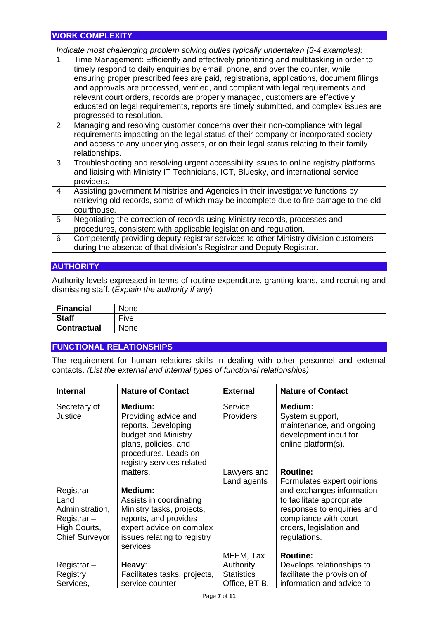### **WORK COMPLEXITY**

|   | Indicate most challenging problem solving duties typically undertaken (3-4 examples):                                                                                                                                                                                                                                                                                                                                                                                                                                                                          |
|---|----------------------------------------------------------------------------------------------------------------------------------------------------------------------------------------------------------------------------------------------------------------------------------------------------------------------------------------------------------------------------------------------------------------------------------------------------------------------------------------------------------------------------------------------------------------|
| 1 | Time Management: Efficiently and effectively prioritizing and multitasking in order to<br>timely respond to daily enquiries by email, phone, and over the counter, while<br>ensuring proper prescribed fees are paid, registrations, applications, document filings<br>and approvals are processed, verified, and compliant with legal requirements and<br>relevant court orders, records are properly managed, customers are effectively<br>educated on legal requirements, reports are timely submitted, and complex issues are<br>progressed to resolution. |
| 2 | Managing and resolving customer concerns over their non-compliance with legal<br>requirements impacting on the legal status of their company or incorporated society<br>and access to any underlying assets, or on their legal status relating to their family<br>relationships.                                                                                                                                                                                                                                                                               |
| 3 | Troubleshooting and resolving urgent accessibility issues to online registry platforms<br>and liaising with Ministry IT Technicians, ICT, Bluesky, and international service<br>providers.                                                                                                                                                                                                                                                                                                                                                                     |
| 4 | Assisting government Ministries and Agencies in their investigative functions by<br>retrieving old records, some of which may be incomplete due to fire damage to the old<br>courthouse.                                                                                                                                                                                                                                                                                                                                                                       |
| 5 | Negotiating the correction of records using Ministry records, processes and<br>procedures, consistent with applicable legislation and regulation.                                                                                                                                                                                                                                                                                                                                                                                                              |
| 6 | Competently providing deputy registrar services to other Ministry division customers<br>during the absence of that division's Registrar and Deputy Registrar.                                                                                                                                                                                                                                                                                                                                                                                                  |

#### **AUTHORITY**

Authority levels expressed in terms of routine expenditure, granting loans, and recruiting and dismissing staff. (*Explain the authority if any*)

| Financial          | None              |
|--------------------|-------------------|
| <b>Staff</b>       | --<br><b>Five</b> |
| <b>Contractual</b> | None              |

#### **FUNCTIONAL RELATIONSHIPS**

The requirement for human relations skills in dealing with other personnel and external contacts. *(List the external and internal types of functional relationships)*

| <b>Internal</b>       | <b>Nature of Contact</b>     | <b>External</b>   | <b>Nature of Contact</b>    |
|-----------------------|------------------------------|-------------------|-----------------------------|
| Secretary of          | Medium:                      | Service           | Medium:                     |
| Justice               | Providing advice and         | <b>Providers</b>  | System support,             |
|                       | reports. Developing          |                   | maintenance, and ongoing    |
|                       | budget and Ministry          |                   | development input for       |
|                       | plans, policies, and         |                   | online platform(s).         |
|                       | procedures. Leads on         |                   |                             |
|                       | registry services related    |                   |                             |
|                       | matters.                     | Lawyers and       | <b>Routine:</b>             |
|                       |                              | Land agents       | Formulates expert opinions  |
| Registrar-            | Medium:                      |                   | and exchanges information   |
| Land                  | Assists in coordinating      |                   | to facilitate appropriate   |
| Administration,       | Ministry tasks, projects,    |                   | responses to enquiries and  |
| Registrar-            | reports, and provides        |                   | compliance with court       |
| High Courts,          | expert advice on complex     |                   | orders, legislation and     |
| <b>Chief Surveyor</b> | issues relating to registry  |                   | regulations.                |
|                       | services.                    |                   |                             |
|                       |                              | MFEM, Tax         | <b>Routine:</b>             |
| Registrar-            | Heavy:                       | Authority,        | Develops relationships to   |
| Registry              | Facilitates tasks, projects, | <b>Statistics</b> | facilitate the provision of |
| Services,             | service counter              | Office, BTIB,     | information and advice to   |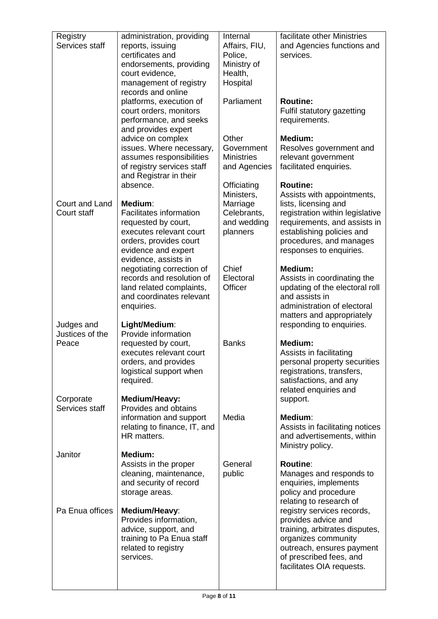| Registry        | administration, providing      | Internal          | facilitate other Ministries                           |
|-----------------|--------------------------------|-------------------|-------------------------------------------------------|
| Services staff  | reports, issuing               | Affairs, FIU,     | and Agencies functions and                            |
|                 | certificates and               | Police,           | services.                                             |
|                 | endorsements, providing        | Ministry of       |                                                       |
|                 | court evidence,                | Health,           |                                                       |
|                 | management of registry         | Hospital          |                                                       |
|                 | records and online             |                   |                                                       |
|                 | platforms, execution of        | Parliament        | <b>Routine:</b>                                       |
|                 | court orders, monitors         |                   | Fulfil statutory gazetting                            |
|                 | performance, and seeks         |                   | requirements.                                         |
|                 | and provides expert            |                   |                                                       |
|                 | advice on complex              | Other             | Medium:                                               |
|                 | issues. Where necessary,       | Government        | Resolves government and                               |
|                 | assumes responsibilities       | <b>Ministries</b> | relevant government                                   |
|                 | of registry services staff     | and Agencies      | facilitated enquiries.                                |
|                 | and Registrar in their         |                   |                                                       |
|                 | absence.                       | Officiating       | <b>Routine:</b>                                       |
|                 |                                | Ministers,        | Assists with appointments,                            |
| Court and Land  | Medium:                        | Marriage          | lists, licensing and                                  |
| Court staff     | <b>Facilitates information</b> | Celebrants,       | registration within legislative                       |
|                 | requested by court,            | and wedding       | requirements, and assists in                          |
|                 | executes relevant court        | planners          | establishing policies and                             |
|                 | orders, provides court         |                   | procedures, and manages                               |
|                 | evidence and expert            |                   | responses to enquiries.                               |
|                 | evidence, assists in           |                   |                                                       |
|                 | negotiating correction of      | Chief             | Medium:                                               |
|                 | records and resolution of      | Electoral         | Assists in coordinating the                           |
|                 | land related complaints,       | Officer           | updating of the electoral roll                        |
|                 | and coordinates relevant       |                   | and assists in                                        |
|                 | enquiries.                     |                   | administration of electoral                           |
|                 |                                |                   | matters and appropriately                             |
| Judges and      | Light/Medium:                  |                   | responding to enquiries.                              |
| Justices of the | Provide information            |                   |                                                       |
| Peace           | requested by court,            | <b>Banks</b>      | Medium:                                               |
|                 | executes relevant court        |                   | Assists in facilitating                               |
|                 | orders, and provides           |                   | personal property securities                          |
|                 | logistical support when        |                   | registrations, transfers,                             |
|                 | required.                      |                   | satisfactions, and any                                |
|                 |                                |                   | related enquiries and                                 |
| Corporate       | Medium/Heavy:                  |                   | support.                                              |
| Services staff  | Provides and obtains           |                   |                                                       |
|                 | information and support        | Media             | Medium:                                               |
|                 | relating to finance, IT, and   |                   | Assists in facilitating notices                       |
|                 | HR matters.                    |                   | and advertisements, within                            |
| Janitor         | Medium:                        |                   | Ministry policy.                                      |
|                 | Assists in the proper          | General           | <b>Routine:</b>                                       |
|                 | cleaning, maintenance,         | public            | Manages and responds to                               |
|                 |                                |                   |                                                       |
|                 | and security of record         |                   | enquiries, implements                                 |
|                 | storage areas.                 |                   | policy and procedure                                  |
| Pa Enua offices | Medium/Heavy:                  |                   | relating to research of<br>registry services records, |
|                 | Provides information,          |                   | provides advice and                                   |
|                 | advice, support, and           |                   | training, arbitrates disputes,                        |
|                 | training to Pa Enua staff      |                   | organizes community                                   |
|                 | related to registry            |                   | outreach, ensures payment                             |
|                 | services.                      |                   | of prescribed fees, and                               |
|                 |                                |                   | facilitates OIA requests.                             |
|                 |                                |                   |                                                       |
|                 |                                |                   |                                                       |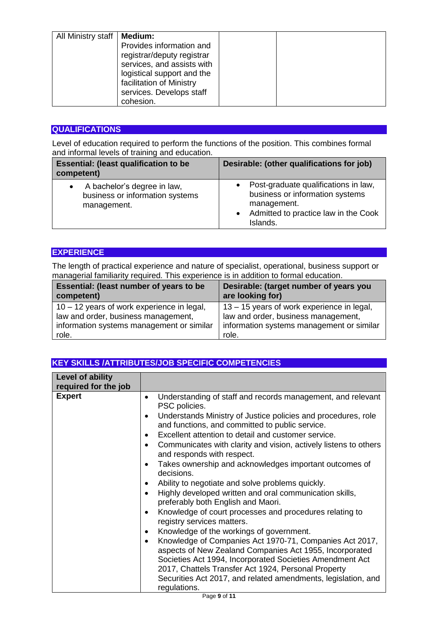| All Ministry staff | <b>Medium:</b><br>Provides information and<br>registrar/deputy registrar<br>services, and assists with<br>logistical support and the |  |
|--------------------|--------------------------------------------------------------------------------------------------------------------------------------|--|
|                    | facilitation of Ministry<br>services. Develops staff<br>cohesion.                                                                    |  |

## **QUALIFICATIONS**

Level of education required to perform the functions of the position. This combines formal and informal levels of training and education.

| <b>Essential: (least qualification to be</b><br>competent)                                 | Desirable: (other qualifications for job)                                                                                                               |
|--------------------------------------------------------------------------------------------|---------------------------------------------------------------------------------------------------------------------------------------------------------|
| A bachelor's degree in law,<br>$\bullet$<br>business or information systems<br>management. | Post-graduate qualifications in law,<br>business or information systems<br>management.<br>Admitted to practice law in the Cook<br>$\bullet$<br>Islands. |

### **EXPERIENCE**

The length of practical experience and nature of specialist, operational, business support or managerial familiarity required. This experience is in addition to formal education.

| <b>Essential: (least number of years to be</b> | Desirable: (target number of years you     |
|------------------------------------------------|--------------------------------------------|
| competent)                                     | are looking for)                           |
| 10 - 12 years of work experience in legal,     | 13 – 15 years of work experience in legal, |
| law and order, business management,            | law and order, business management,        |
| information systems management or similar      | information systems management or similar  |
| role.                                          | role.                                      |

## **KEY SKILLS /ATTRIBUTES/JOB SPECIFIC COMPETENCIES**

| <b>Level of ability</b><br>required for the job |                                                                                                                                                                                                                                                                                                                                                                                                                                                                                                                                                                                                                                                                                                                                                                                                                                                                                                                                                                                                                                                                                                                             |
|-------------------------------------------------|-----------------------------------------------------------------------------------------------------------------------------------------------------------------------------------------------------------------------------------------------------------------------------------------------------------------------------------------------------------------------------------------------------------------------------------------------------------------------------------------------------------------------------------------------------------------------------------------------------------------------------------------------------------------------------------------------------------------------------------------------------------------------------------------------------------------------------------------------------------------------------------------------------------------------------------------------------------------------------------------------------------------------------------------------------------------------------------------------------------------------------|
| <b>Expert</b>                                   | Understanding of staff and records management, and relevant<br>PSC policies.<br>Understands Ministry of Justice policies and procedures, role<br>$\bullet$<br>and functions, and committed to public service.<br>Excellent attention to detail and customer service.<br>Communicates with clarity and vision, actively listens to others<br>$\bullet$<br>and responds with respect.<br>Takes ownership and acknowledges important outcomes of<br>decisions.<br>Ability to negotiate and solve problems quickly.<br>Highly developed written and oral communication skills,<br>$\bullet$<br>preferably both English and Maori.<br>Knowledge of court processes and procedures relating to<br>$\bullet$<br>registry services matters.<br>Knowledge of the workings of government.<br>٠<br>Knowledge of Companies Act 1970-71, Companies Act 2017,<br>$\bullet$<br>aspects of New Zealand Companies Act 1955, Incorporated<br>Societies Act 1994, Incorporated Societies Amendment Act<br>2017, Chattels Transfer Act 1924, Personal Property<br>Securities Act 2017, and related amendments, legislation, and<br>regulations. |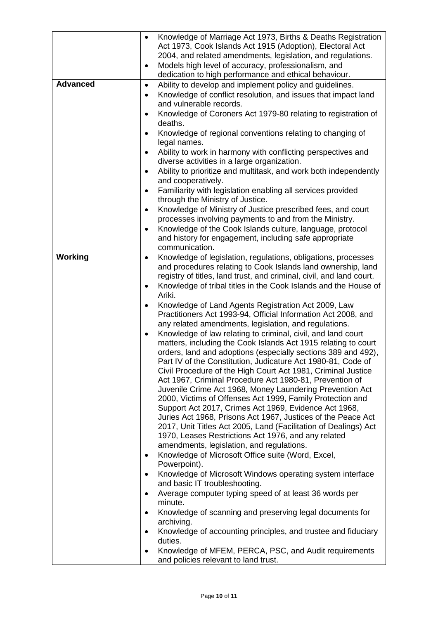|                 | Knowledge of Marriage Act 1973, Births & Deaths Registration<br>$\bullet$<br>Act 1973, Cook Islands Act 1915 (Adoption), Electoral Act<br>2004, and related amendments, legislation, and regulations.<br>Models high level of accuracy, professionalism, and<br>$\bullet$<br>dedication to high performance and ethical behaviour. |
|-----------------|------------------------------------------------------------------------------------------------------------------------------------------------------------------------------------------------------------------------------------------------------------------------------------------------------------------------------------|
| <b>Advanced</b> | Ability to develop and implement policy and guidelines.<br>$\bullet$                                                                                                                                                                                                                                                               |
|                 | Knowledge of conflict resolution, and issues that impact land<br>٠                                                                                                                                                                                                                                                                 |
|                 | and vulnerable records.                                                                                                                                                                                                                                                                                                            |
|                 | Knowledge of Coroners Act 1979-80 relating to registration of<br>$\bullet$<br>deaths.                                                                                                                                                                                                                                              |
|                 | Knowledge of regional conventions relating to changing of<br>legal names.                                                                                                                                                                                                                                                          |
|                 | Ability to work in harmony with conflicting perspectives and<br>$\bullet$<br>diverse activities in a large organization.                                                                                                                                                                                                           |
|                 | Ability to prioritize and multitask, and work both independently<br>and cooperatively.                                                                                                                                                                                                                                             |
|                 | Familiarity with legislation enabling all services provided<br>through the Ministry of Justice.                                                                                                                                                                                                                                    |
|                 | Knowledge of Ministry of Justice prescribed fees, and court<br>٠<br>processes involving payments to and from the Ministry.                                                                                                                                                                                                         |
|                 | Knowledge of the Cook Islands culture, language, protocol                                                                                                                                                                                                                                                                          |
|                 | and history for engagement, including safe appropriate                                                                                                                                                                                                                                                                             |
|                 | communication.                                                                                                                                                                                                                                                                                                                     |
| Working         | Knowledge of legislation, regulations, obligations, processes<br>٠<br>and procedures relating to Cook Islands land ownership, land<br>registry of titles, land trust, and criminal, civil, and land court.                                                                                                                         |
|                 | Knowledge of tribal titles in the Cook Islands and the House of<br>$\bullet$                                                                                                                                                                                                                                                       |
|                 | Ariki.                                                                                                                                                                                                                                                                                                                             |
|                 | Knowledge of Land Agents Registration Act 2009, Law<br>Practitioners Act 1993-94, Official Information Act 2008, and                                                                                                                                                                                                               |
|                 | any related amendments, legislation, and regulations.<br>Knowledge of law relating to criminal, civil, and land court<br>$\bullet$<br>matters, including the Cook Islands Act 1915 relating to court<br>orders, land and adoptions (especially sections 389 and 492),                                                              |
|                 | Part IV of the Constitution, Judicature Act 1980-81, Code of<br>Civil Procedure of the High Court Act 1981, Criminal Justice<br>Act 1967, Criminal Procedure Act 1980-81, Prevention of<br>Juvenile Crime Act 1968, Money Laundering Prevention Act                                                                                |
|                 | 2000, Victims of Offenses Act 1999, Family Protection and                                                                                                                                                                                                                                                                          |
|                 | Support Act 2017, Crimes Act 1969, Evidence Act 1968,                                                                                                                                                                                                                                                                              |
|                 | Juries Act 1968, Prisons Act 1967, Justices of the Peace Act<br>2017, Unit Titles Act 2005, Land (Facilitation of Dealings) Act<br>1970, Leases Restrictions Act 1976, and any related                                                                                                                                             |
|                 | amendments, legislation, and regulations.                                                                                                                                                                                                                                                                                          |
|                 | Knowledge of Microsoft Office suite (Word, Excel,<br>Powerpoint).                                                                                                                                                                                                                                                                  |
|                 | Knowledge of Microsoft Windows operating system interface<br>and basic IT troubleshooting.                                                                                                                                                                                                                                         |
|                 | Average computer typing speed of at least 36 words per<br>minute.                                                                                                                                                                                                                                                                  |
|                 | Knowledge of scanning and preserving legal documents for                                                                                                                                                                                                                                                                           |
|                 | archiving.                                                                                                                                                                                                                                                                                                                         |
|                 | Knowledge of accounting principles, and trustee and fiduciary<br>duties.                                                                                                                                                                                                                                                           |
|                 | Knowledge of MFEM, PERCA, PSC, and Audit requirements<br>and policies relevant to land trust.                                                                                                                                                                                                                                      |